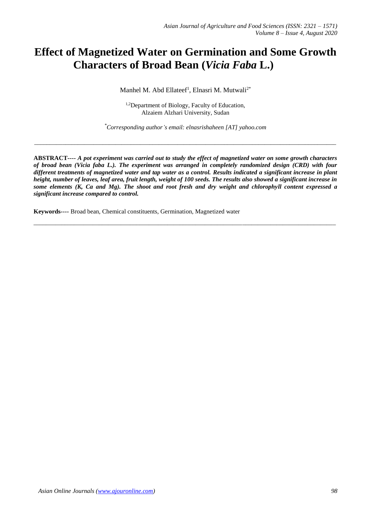# **Effect of Magnetized Water on Germination and Some Growth Characters of Broad Bean (***Vicia Faba* **L.)**

Manhel M. Abd Ellateef<sup>1</sup>, Elnasri M. Mutwali<sup>2\*</sup>

<sup>1,2</sup>Department of Biology, Faculty of Education, Alzaiem Alzhari University, Sudan

*\*Corresponding author's email: elnasrishaheen [AT] yahoo.com*

*\_\_\_\_\_\_\_\_\_\_\_\_\_\_\_\_\_\_\_\_\_\_\_\_\_\_\_\_\_\_\_\_\_\_\_\_\_\_\_\_\_\_\_\_\_\_\_\_\_\_\_\_\_\_\_\_\_\_\_\_\_\_\_\_\_\_\_\_\_\_\_\_\_\_\_\_\_\_\_\_\_\_\_\_\_\_\_\_\_\_\_\_\_\_\_\_\_*

**ABSTRACT***---- A pot experiment was carried out to study the effect of magnetized water on some growth characters of broad bean (Vicia faba L.). The experiment was arranged in completely randomized design (CRD) with four different treatments of magnetized water and tap water as a control. Results indicated a significant increase in plant height, number of leaves, leaf area, fruit length, weight of 100 seeds. The results also showed a significant increase in some elements (K, Ca and Mg). The shoot and root fresh and dry weight and chlorophyll content expressed a significant increase compared to control.*

\_\_\_\_\_\_\_\_\_\_\_\_\_\_\_\_\_\_\_\_\_\_\_\_\_\_\_\_\_\_\_\_\_\_\_\_\_\_\_\_\_\_\_\_\_\_\_\_\_\_\_\_\_\_\_\_\_\_\_\_\_\_\_\_\_\_\_\_\_\_\_\_\_\_\_\_\_\_\_\_\_\_\_\_\_\_\_\_\_\_\_\_\_\_\_\_\_

**Keywords***----* Broad bean, Chemical constituents, Germination, Magnetized water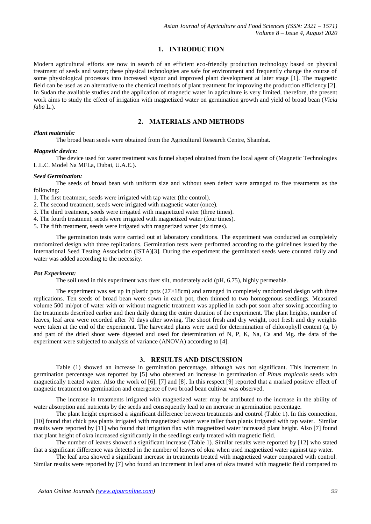## **1. INTRODUCTION**

Modern agricultural efforts are now in search of an efficient eco-friendly production technology based on physical treatment of seeds and water; these physical technologies are safe for environment and frequently change the course of some physiological processes into increased vigour and improved plant development at later stage [1]. The magnetic field can be used as an alternative to the chemical methods of plant treatment for improving the production efficiency [2]. In Sudan the available studies and the application of magnetic water in agriculture is very limited, therefore, the present work aims to study the effect of irrigation with magnetized water on germination growth and yield of broad bean (*Vicia faba* L.).

## **2. MATERIALS AND METHODS**

# *Plant materials:*

The broad bean seeds were obtained from the Agricultural Research Centre, Shambat.

#### *Magnetic device:*

The device used for water treatment was funnel shaped obtained from the local agent of (Magnetic Technologies L.L.C. Model Na MFLa, Dubai, U.A.E.).

#### *Seed Germination:*

The seeds of broad bean with uniform size and without seen defect were arranged to five treatments as the following:

1. The first treatment, seeds were irrigated with tap water (the control).

2. The second treatment, seeds were irrigated with magnetic water (once).

3. The third treatment, seeds were irrigated with magnetized water (three times).

4. The fourth treatment, seeds were irrigated with magnetized water (four times).

5. The fifth treatment, seeds were irrigated with magnetized water (six times).

The germination tests were carried out at laboratory conditions. The experiment was conducted as completely randomized design with three replications. Germination tests were performed according to the guidelines issued by the International Seed Testing Association (ISTA)[3]. During the experiment the germinated seeds were counted daily and water was added according to the necessity.

#### *Pot Experiment:*

The soil used in this experiment was river silt, moderately acid (pH, 6.75), highly permeable.

The experiment was set up in plastic pots  $(27\times18$ cm) and arranged in completely randomized design with three replications. Ten seeds of broad bean were sown in each pot, then thinned to two homogenous seedlings. Measured volume 500 ml/pot of water with or without magnetic treatment was applied in each pot soon after sowing according to the treatments described earlier and then daily during the entire duration of the experiment. The plant heights, number of leaves, leaf area were recorded after 70 days after sowing. The shoot fresh and dry weight, root fresh and dry weights were taken at the end of the experiment. The harvested plants were used for determination of chlorophyll content (a, b) and part of the dried shoot were digested and used for determination of N, P, K, Na, Ca and Mg. the data of the experiment were subjected to analysis of variance (ANOVA) according to [4].

## **3. RESULTS AND DISCUSSION**

Table (1) showed an increase in germination percentage, although was not significant. This increment in germination percentage was reported by [5] who observed an increase in germination of *Pinus tropicalis* seeds with magnetically treated water. Also the work of [6]. [7] and [8]. In this respect [9] reported that a marked positive effect of magnetic treatment on germination and emergence of two broad bean cultivar was observed.

The increase in treatments irrigated with magnetized water may be attributed to the increase in the ability of water absorption and nutrients by the seeds and consequently lead to an increase in germination percentage.

The plant height expressed a significant difference between treatments and control (Table 1). In this connection, [10] found that chick pea plants irrigated with magnetized water were taller than plants irrigated with tap water. Similar results were reported by [11] who found that irrigation flax with magnetized water increased plant height. Also [7] found that plant height of okra increased significantly in the seedlings early treated with magnetic field.

The number of leaves showed a significant increase (Table 1). Similar results were reported by [12] who stated that a significant difference was detected in the number of leaves of okra when used magnetized water against tap water.

The leaf area showed a significant increase in treatments treated with magnetized water compared with control. Similar results were reported by [7] who found an increment in leaf area of okra treated with magnetic field compared to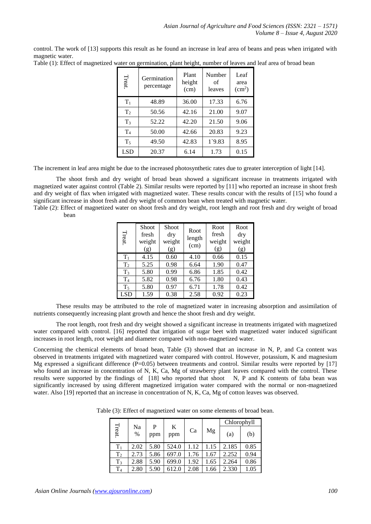control. The work of [13] supports this result as he found an increase in leaf area of beans and peas when irrigated with magnetic water.

| Treat.         | Germination<br>percentage | Plant<br>height<br>(cm) | Number<br>οf<br>leaves | Leaf<br>area<br>(cm <sup>2</sup> ) |
|----------------|---------------------------|-------------------------|------------------------|------------------------------------|
| $T_1$          | 48.89                     | 36.00                   | 17.33                  | 6.76                               |
| T <sub>2</sub> | 50.56                     | 42.16                   | 21.00                  | 9.07                               |
| $T_3$          | 52.22                     | 42.20                   | 21.50                  | 9.06                               |
| T <sub>4</sub> | 50.00                     | 42.66                   | 20.83                  | 9.23                               |
| $T_5$          | 49.50                     | 42.83                   | $1^{\circ}9.83$        | 8.95                               |
| <b>LSD</b>     | 20.37                     | 6.14                    | 1.73                   | 0.15                               |

The increment in leaf area might be due to the increased photosynthetic rates due to greater interception of light [14].

The shoot fresh and dry weight of broad bean showed a significant increase in treatments irrigated with magnetized water against control (Table 2). Similar results were reported by [11] who reported an increase in shoot fresh and dry weight of flax when irrigated with magnetized water. These results concur with the results of [15] who found a significant increase in shoot fresh and dry weight of common bean when treated with magnetic water.

Table (2): Effect of magnetized water on shoot fresh and dry weight, root length and root fresh and dry weight of broad bean

| Treat          | Shoot<br>fresh<br>weight<br>(g) | Shoot<br>dry<br>weight<br>(g) | Root<br>length<br>(cm) | Root<br>fresh<br>weight<br>(g) | Root<br>dry<br>weight<br>(g) |
|----------------|---------------------------------|-------------------------------|------------------------|--------------------------------|------------------------------|
| $T_1$          | 4.15                            | 0.60                          | 4.10                   | 0.66                           | 0.15                         |
| T <sub>2</sub> | 5.25                            | 0.98                          | 6.64                   | 1.90                           | 0.47                         |
| $T_3$          | 5.80                            | 0.99                          | 6.86                   | 1.85                           | 0.42                         |
| T <sub>4</sub> | 5.82                            | 0.98                          | 6.76                   | 1.80                           | 0.43                         |
| $T_5$          | 5.80                            | 0.97                          | 6.71                   | 1.78                           | 0.42                         |
| <b>LSD</b>     | 1.59                            | 0.38                          | 2.58                   | 0.92                           | 0.23                         |

These results may be attributed to the role of magnetized water in increasing absorption and assimilation of nutrients consequently increasing plant growth and hence the shoot fresh and dry weight.

The root length, root fresh and dry weight showed a significant increase in treatments irrigated with magnetized water compared with control. [16] reported that irrigation of sugar beet with magnetized water induced significant increases in root length, root weight and diameter compared with non-magnetized water.

Concerning the chemical elements of broad bean, Table (3) showed that an increase in N, P, and Ca content was observed in treatments irrigated with magnetized water compared with control. However, potassium, K and magnesium Mg expressed a significant difference (P=0.05) between treatments and control. Similar results were reported by [17] who found an increase in concentration of N, K, Ca, Mg of strawberry plant leaves compared with the control. These results were supported by the findings of [18] who reported that shoot N, P and K contents of faba bean was significantly increased by using different magnetized irrigation water compared with the normal or non-magnetized water. Also [19] reported that an increase in concentration of N, K, Ca, Mg of cotton leaves was observed.

Table (3): Effect of magnetized water on some elements of broad bean.

|                |            |          |          | Chlorophyll |      |       |      |
|----------------|------------|----------|----------|-------------|------|-------|------|
| Treat.         | Na<br>$\%$ | P<br>ppm | K<br>ppm | Ca          | Mg   | (a)   | (b)  |
| $T_1$          | 2.02       | 5.80     | 524.0    | 1.12        | 1.15 | 2.185 | 0.85 |
| T <sub>2</sub> | 2.73       | 5.86     | 697.0    | 1.76        | 1.67 | 2.252 | 0.94 |
| $T_3$          | 2.88       | 5.90     | 699.0    | 1.92        | 1.65 | 2.264 | 0.86 |
| T <sub>4</sub> | 2.80       | 5.90     | 612.0    | 2.08        | .66  | 2.330 | 1.05 |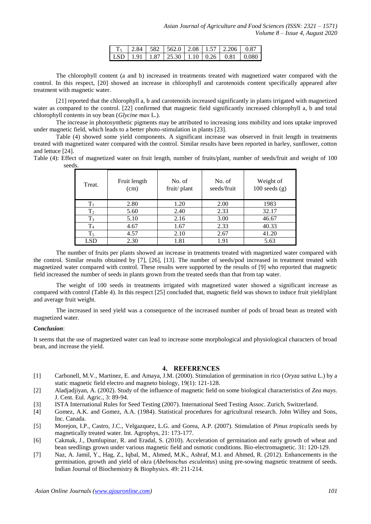|  |  |  | $T_5$ 2.84 582 562.0 2.08 1.57 2.206 0.87                                                                        |  |
|--|--|--|------------------------------------------------------------------------------------------------------------------|--|
|  |  |  | $\vert$ LSD $\vert$ 1.91 $\vert$ 1.87 $\vert$ 25.30 $\vert$ 1.10 $\vert$ 0.26 $\vert$ 0.81 $\vert$ 0.080 $\vert$ |  |

The chlorophyll content (a and b) increased in treatments treated with magnetized water compared with the control. In this respect, [20] showed an increase in chlorophyll and carotenoids content specifically appeared after treatment with magnetic water.

[21] reported that the chlorophyll a, b and carotenoids increased significantly in plants irrigated with magnetized water as compared to the control. [22] confirmed that magnetic field significantly increased chlorophyll a, b and total chlorophyll contents in soy bean (*Glycine max* L.)*.*

The increase in photosynthetic pigments may be attributed to increasing ions mobility and ions uptake improved under magnetic field, which leads to a better photo-stimulation in plants [23].

Table (4) showed some yield components. A significant increase was observed in fruit length in treatments treated with magnetized water compared with the control. Similar results have been reported in barley, sunflower, cotton and lettuce [24].

Table (4): Effect of magnetized water on fruit length, number of fruits/plant, number of seeds/fruit and weight of 100 seeds.

| Treat.         | Fruit length<br>(cm) | No. of<br>fruit/plant | No. of<br>seeds/fruit | Weight of<br>$100$ seeds $(g)$ |
|----------------|----------------------|-----------------------|-----------------------|--------------------------------|
| $T_1$          | 2.80                 | 1.20                  | 2.00                  | 1983                           |
| $T_2$          | 5.60                 | 2.40                  | 2.33                  | 32.17                          |
| $T_3$          | 5.10                 | 2.16                  | 3.00                  | 46.67                          |
| T <sub>4</sub> | 4.67                 | 1.67                  | 2.33                  | 40.33                          |
| $T_5$          | 4.57                 | 2.10                  | 2.67                  | 41.20                          |
| LSD            | 2.30                 | 1.81                  | 1.91                  | 5.63                           |

The number of fruits per plants showed an increase in treatments treated with magnetized water compared with the control. Similar results obtained by [7], [26], [13]. The number of seeds/pod increased in treatment treated with magnetized water compared with control. These results were supported by the results of [9] who reported that magnetic field increased the number of seeds in plants grown from the treated seeds than that from tap water.

The weight of 100 seeds in treatments irrigated with magnetized water showed a significant increase as compared with control (Table 4). In this respect [25] concluded that, magnetic field was shown to induce fruit yield/plant and average fruit weight.

The increased in seed yield was a consequence of the increased number of pods of broad bean as treated with magnetized water.

## *Conclusion*:

It seems that the use of magnetized water can lead to increase some morphological and physiological characters of broad bean, and increase the yield.

#### **4. REFERENCES**

- [1] Carbonell, M.V., Martinez, E. and Amaya, J.M. (2000). Stimulation of germination in rico (*Oryza sativa* L.) by a static magnetic field electro and magneto biology, 19(1): 121-128.
- [2] Aladjadjiyan, A. (2002). Study of the influence of magnetic field on some biological characteristics of *Zea mays*. J. Cent. Eul. Agric., 3: 89-94.
- [3] ISTA International Rules for Seed Testing (2007). International Seed Testing Assoc. Zurich, Switzerland.
- [4] Gomez, A.K. and Gomez, A.A. (1984). Statistical procedures for agricultural research. John Willey and Sons, Inc. Canada.
- [5] Morejon, I.P., Castro, J.C., Velgazquez, L.G. and Gorea, A.P. (2007). Stimulation of *Pinus tropicalis* seeds by magnetically treated water. Int. Agrophys, 21: 173-177.
- [6] Cakmak, J., Dumlupinar, R. and Eradal, S. (2010). Acceleration of germination and early growth of wheat and bean seedlings grown under various magnetic field and osmotic conditions. Bio-electromagnetic. 31: 120-129.
- [7] Naz, A. Jamil, Y., Hag, Z., Iqbal, M., Ahmed, M.K., Ashraf, M.I. and Ahmed, R. (2012). Enhancements in the germination, growth and yield of okra (*Abelnoschus esculentus*) using pre-sowing magnetic treatment of seeds. Indian Journal of Biochemistry & Biophysics. 49: 211-214.